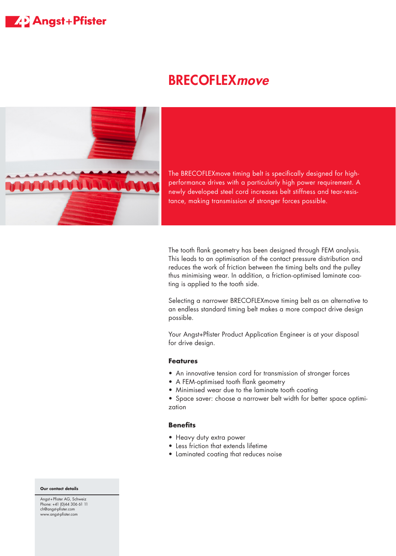## **ZAD** Angst+Pfister

# **BRECOFLEX move**



The BRECOFLEXmove timing belt is specifically designed for highperformance drives with a particularly high power requirement. A newly developed steel cord increases belt stiffness and tear-resistance, making transmission of stronger forces possible.

The tooth flank geometry has been designed through FEM analysis. This leads to an optimisation of the contact pressure distribution and reduces the work of friction between the timing belts and the pulley thus minimising wear. In addition, a friction-optimised laminate coating is applied to the tooth side.

Selecting a narrower BRECOFLEXmove timing belt as an alternative to an endless standard timing belt makes a more compact drive design possible.

Your Angst+Pfister Product Application Engineer is at your disposal for drive design.

#### **Features**

- An innovative tension cord for transmission of stronger forces
- A FEM-optimised tooth flank geometry
- Minimised wear due to the laminate tooth coating

• Space saver: choose a narrower belt width for better space optimization

### **Benefits**

- Heavy duty extra power
- Less friction that extends lifetime
- Laminated coating that reduces noise

#### **Our contact details**

Angst+Pfister AG, Schweiz Phone: +41 (0)44 306 61 11 ch@angst-pfister.com www.angst-pfister.com